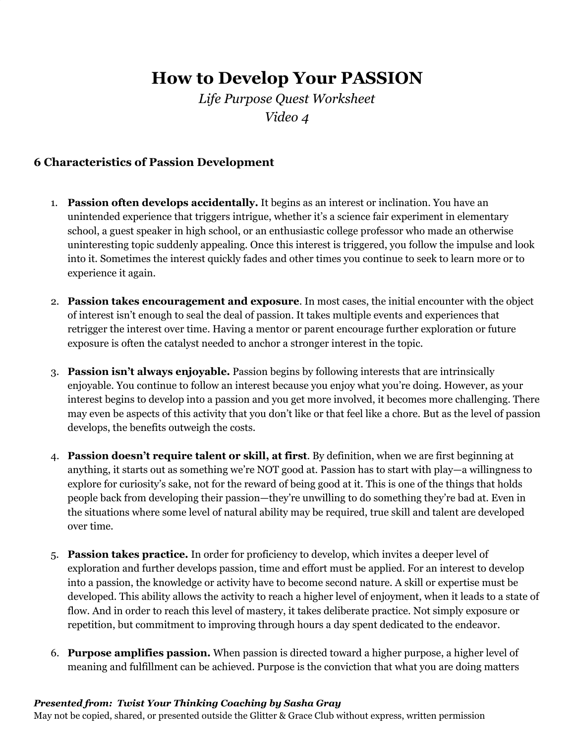# **How to Develop Your PASSION**

*Life Purpose Quest Worksheet Video 4*

#### **6 Characteristics of Passion Development**

- 1. **Passion often develops accidentally.** It begins as an interest or inclination. You have an unintended experience that triggers intrigue, whether it's a science fair experiment in elementary school, a guest speaker in high school, or an enthusiastic college professor who made an otherwise uninteresting topic suddenly appealing. Once this interest is triggered, you follow the impulse and look into it. Sometimes the interest quickly fades and other times you continue to seek to learn more or to experience it again.
- 2. **Passion takes encouragement and exposure**. In most cases, the initial encounter with the object of interest isn't enough to seal the deal of passion. It takes multiple events and experiences that retrigger the interest over time. Having a mentor or parent encourage further exploration or future exposure is often the catalyst needed to anchor a stronger interest in the topic.
- 3. **Passion isn't always enjoyable.** Passion begins by following interests that are intrinsically enjoyable. You continue to follow an interest because you enjoy what you're doing. However, as your interest begins to develop into a passion and you get more involved, it becomes more challenging. There may even be aspects of this activity that you don't like or that feel like a chore. But as the level of passion develops, the benefits outweigh the costs.
- 4. **Passion doesn't require talent or skill, at first**. By definition, when we are first beginning at anything, it starts out as something we're NOT good at. Passion has to start with play—a willingness to explore for curiosity's sake, not for the reward of being good at it. This is one of the things that holds people back from developing their passion—they're unwilling to do something they're bad at. Even in the situations where some level of natural ability may be required, true skill and talent are developed over time.
- 5. **Passion takes practice.** In order for proficiency to develop, which invites a deeper level of exploration and further develops passion, time and effort must be applied. For an interest to develop into a passion, the knowledge or activity have to become second nature. A skill or expertise must be developed. This ability allows the activity to reach a higher level of enjoyment, when it leads to a state of flow. And in order to reach this level of mastery, it takes deliberate practice. Not simply exposure or repetition, but commitment to improving through hours a day spent dedicated to the endeavor.
- 6. **Purpose amplifies passion.** When passion is directed toward a higher purpose, a higher level of meaning and fulfillment can be achieved. Purpose is the conviction that what you are doing matters

#### *Presented from: Twist Your Thinking Coaching by Sasha Gray*

May not be copied, shared, or presented outside the Glitter & Grace Club without express, written permission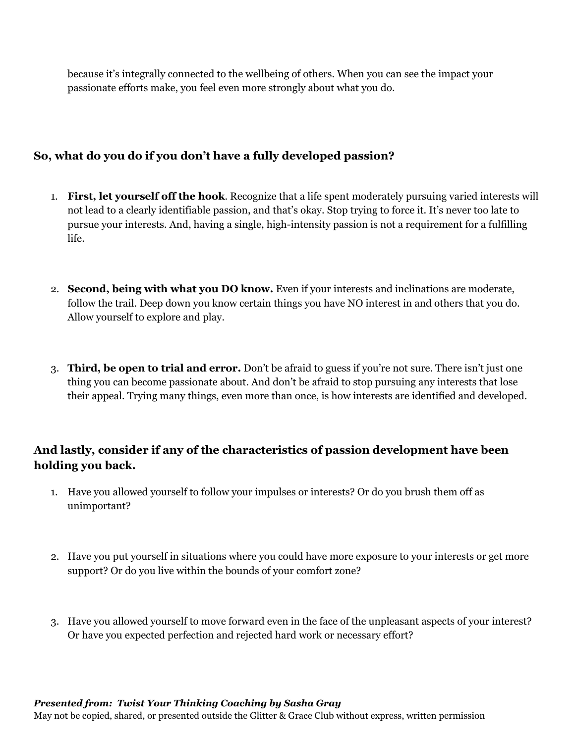because it's integrally connected to the wellbeing of others. When you can see the impact your passionate efforts make, you feel even more strongly about what you do.

### **So, what do you do if you don't have a fully developed passion?**

- 1. **First, let yourself off the hook**. Recognize that a life spent moderately pursuing varied interests will not lead to a clearly identifiable passion, and that's okay. Stop trying to force it. It's never too late to pursue your interests. And, having a single, high-intensity passion is not a requirement for a fulfilling life.
- 2. **Second, being with what you DO know.** Even if your interests and inclinations are moderate, follow the trail. Deep down you know certain things you have NO interest in and others that you do. Allow yourself to explore and play.
- 3. **Third, be open to trial and error.** Don't be afraid to guess if you're not sure. There isn't just one thing you can become passionate about. And don't be afraid to stop pursuing any interests that lose their appeal. Trying many things, even more than once, is how interests are identified and developed.

## **And lastly, consider if any of the characteristics of passion development have been holding you back.**

- 1. Have you allowed yourself to follow your impulses or interests? Or do you brush them off as unimportant?
- 2. Have you put yourself in situations where you could have more exposure to your interests or get more support? Or do you live within the bounds of your comfort zone?
- 3. Have you allowed yourself to move forward even in the face of the unpleasant aspects of your interest? Or have you expected perfection and rejected hard work or necessary effort?

#### *Presented from: Twist Your Thinking Coaching by Sasha Gray*

May not be copied, shared, or presented outside the Glitter & Grace Club without express, written permission